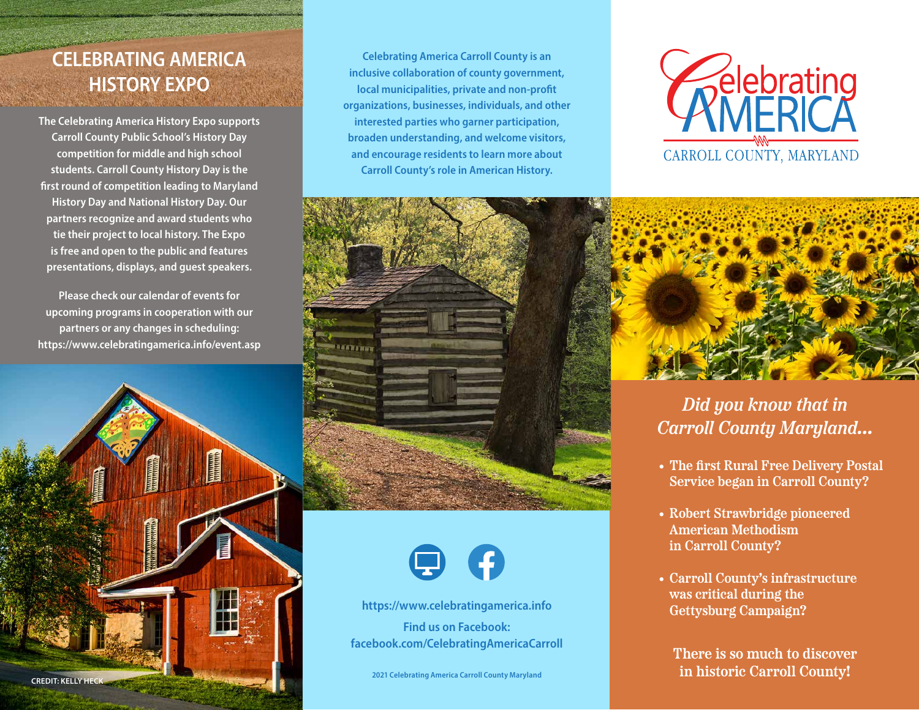## **CELEBRATING AMERICA HISTORY EXPO**

**The Celebrating America History Expo supports Carroll County Public School's History Day competition for middle and high school students. Carroll County History Day is the first round of competition leading to Maryland History Day and National History Day. Our partners recognize and award students who tie their project to local history. The Expo is free and open to the public and features presentations, displays, and guest speakers.**

**Please check our calendar of events for upcoming programs in cooperation with our partners or any changes in scheduling: <https://www.celebratingamerica.info/event.asp>**



**Celebrating America Carroll County is an inclusive collaboration of county government, local municipalities, private and non-profit organizations, businesses, individuals, and other interested parties who garner participation, broaden understanding, and welcome visitors, and encourage residents to learn more about Carroll County's role in American History.**





*Did you know that in Carroll County Maryland…*

- **• The first Rural Free Delivery Postal Service began in Carroll County?**
- **• Robert Strawbridge pioneered American Methodism in Carroll County?**
- **• Carroll County's infrastructure was critical during the Gettysburg Campaign?**

**There is so much to discover in historic Carroll County!**





**<https://www.celebratingamerica.info> Find us on Facebook: [facebook.com/CelebratingAmericaCarroll](https://facebook.com/CelebratingAmericaCarroll)**